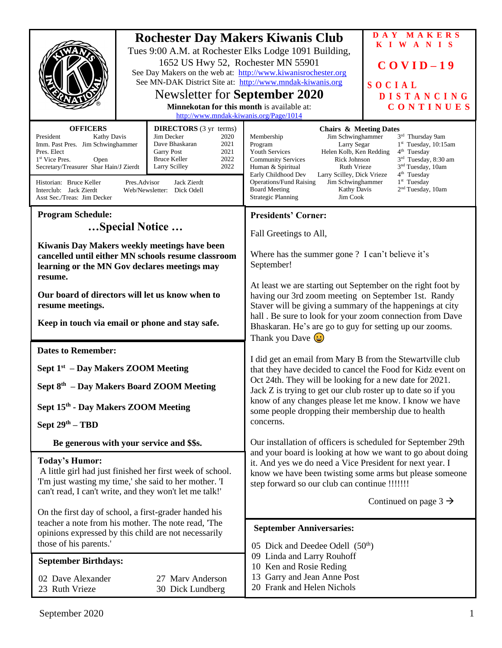|                                                                                                                                                                                                                                                                                                                                                                                                                                                                                                        | <b>Rochester Day Makers Kiwanis Club</b><br>1652 US Hwy 52, Rochester MN 55901<br>See Day Makers on the web at: http://www.kiwanisrochester.org<br>See MN-DAK District Site at: http://www.mndak-kiwanis.org<br><b>Newsletter for September 2020</b><br>Minnekotan for this month is available at:<br>http://www.mndak-kiwanis.org/Page/1014 | Tues 9:00 A.M. at Rochester Elks Lodge 1091 Building,                                                                                                                                                                                                                                                                                                                                                                                                                                                                                                                                                                                                                       | DAY MAKERS<br>KIWANIS<br>$COVID-19$<br>SOCIAL<br><b>DISTANCING</b><br>CONTINUES |
|--------------------------------------------------------------------------------------------------------------------------------------------------------------------------------------------------------------------------------------------------------------------------------------------------------------------------------------------------------------------------------------------------------------------------------------------------------------------------------------------------------|----------------------------------------------------------------------------------------------------------------------------------------------------------------------------------------------------------------------------------------------------------------------------------------------------------------------------------------------|-----------------------------------------------------------------------------------------------------------------------------------------------------------------------------------------------------------------------------------------------------------------------------------------------------------------------------------------------------------------------------------------------------------------------------------------------------------------------------------------------------------------------------------------------------------------------------------------------------------------------------------------------------------------------------|---------------------------------------------------------------------------------|
| <b>OFFICERS</b><br><b>DIRECTORS</b> (3 yr terms)<br>Jim Decker<br>President<br>Kathy Davis<br>2020<br>Imm. Past Pres. Jim Schwinghammer<br>Dave Bhaskaran<br>2021<br>Pres. Elect<br><b>Garry Post</b><br>2021<br><b>Bruce Keller</b><br>2022<br>1 <sup>st</sup> Vice Pres.<br>Open<br>2022<br>Secretary/Treasurer Shar Hain/J Zierdt<br>Larry Scilley<br>Jack Zierdt<br>Historian: Bruce Keller<br>Pres.Advisor<br>Interclub: Jack Zierdt<br>Web/Newsletter: Dick Odell<br>Asst Sec./Treas: Jim Decker |                                                                                                                                                                                                                                                                                                                                              | <b>Chairs &amp; Meeting Dates</b><br>3rd Thursday 9am<br>Membership<br>Jim Schwinghammer<br>Program<br>Larry Segar<br>$1st$ Tuesday, 10:15am<br><b>Youth Services</b><br>Helen Kolb, Ken Redding<br>4 <sup>th</sup> Tuesday<br>Rick Johnson<br>3 <sup>rd</sup> Tuesday, 8:30 am<br><b>Community Services</b><br>Ruth Vrieze<br>3 <sup>nd</sup> Tuesday, 10am<br>Human & Spiritual<br>4 <sup>th</sup> Tuesday<br>Early Childhood Dev<br>Larry Scilley, Dick Vrieze<br>1 <sup>st</sup> Tuesday<br><b>Operations/Fund Raising</b><br>Jim Schwinghammer<br>2 <sup>nd</sup> Tuesday, 10am<br><b>Board Meeting</b><br><b>Kathy Davis</b><br><b>Strategic Planning</b><br>Jim Cook |                                                                                 |
| <b>Program Schedule:</b>                                                                                                                                                                                                                                                                                                                                                                                                                                                                               |                                                                                                                                                                                                                                                                                                                                              | <b>Presidents' Corner:</b>                                                                                                                                                                                                                                                                                                                                                                                                                                                                                                                                                                                                                                                  |                                                                                 |
| Special Notice                                                                                                                                                                                                                                                                                                                                                                                                                                                                                         |                                                                                                                                                                                                                                                                                                                                              | Fall Greetings to All,                                                                                                                                                                                                                                                                                                                                                                                                                                                                                                                                                                                                                                                      |                                                                                 |
| Kiwanis Day Makers weekly meetings have been<br>cancelled until either MN schools resume classroom<br>learning or the MN Gov declares meetings may<br>resume.                                                                                                                                                                                                                                                                                                                                          |                                                                                                                                                                                                                                                                                                                                              | Where has the summer gone ? I can't believe it's<br>September!                                                                                                                                                                                                                                                                                                                                                                                                                                                                                                                                                                                                              |                                                                                 |
| Our board of directors will let us know when to<br>resume meetings.<br>Keep in touch via email or phone and stay safe.                                                                                                                                                                                                                                                                                                                                                                                 |                                                                                                                                                                                                                                                                                                                                              | At least we are starting out September on the right foot by<br>having our 3rd zoom meeting on September 1st. Randy<br>Staver will be giving a summary of the happenings at city<br>hall . Be sure to look for your zoom connection from Dave<br>Bhaskaran. He's are go to guy for setting up our zooms.<br>Thank you Dave $\left(\frac{1}{2}\right)$                                                                                                                                                                                                                                                                                                                        |                                                                                 |
| <b>Dates to Remember:</b>                                                                                                                                                                                                                                                                                                                                                                                                                                                                              |                                                                                                                                                                                                                                                                                                                                              | I did get an email from Mary B from the Stewartville club<br>that they have decided to cancel the Food for Kidz event on                                                                                                                                                                                                                                                                                                                                                                                                                                                                                                                                                    |                                                                                 |
| Sept 1 <sup>st</sup> – Day Makers ZOOM Meeting                                                                                                                                                                                                                                                                                                                                                                                                                                                         |                                                                                                                                                                                                                                                                                                                                              |                                                                                                                                                                                                                                                                                                                                                                                                                                                                                                                                                                                                                                                                             |                                                                                 |
| Sept 8 <sup>th</sup> – Day Makers Board ZOOM Meeting                                                                                                                                                                                                                                                                                                                                                                                                                                                   |                                                                                                                                                                                                                                                                                                                                              | Oct 24th. They will be looking for a new date for 2021.<br>Jack Z is trying to get our club roster up to date so if you                                                                                                                                                                                                                                                                                                                                                                                                                                                                                                                                                     |                                                                                 |
| Sept 15th - Day Makers ZOOM Meeting                                                                                                                                                                                                                                                                                                                                                                                                                                                                    |                                                                                                                                                                                                                                                                                                                                              | know of any changes please let me know. I know we have<br>some people dropping their membership due to health<br>concerns.                                                                                                                                                                                                                                                                                                                                                                                                                                                                                                                                                  |                                                                                 |
| Sept $29th - TBD$                                                                                                                                                                                                                                                                                                                                                                                                                                                                                      |                                                                                                                                                                                                                                                                                                                                              |                                                                                                                                                                                                                                                                                                                                                                                                                                                                                                                                                                                                                                                                             |                                                                                 |
| Be generous with your service and \$\$s.                                                                                                                                                                                                                                                                                                                                                                                                                                                               |                                                                                                                                                                                                                                                                                                                                              | Our installation of officers is scheduled for September 29th                                                                                                                                                                                                                                                                                                                                                                                                                                                                                                                                                                                                                |                                                                                 |
| <b>Today's Humor:</b><br>A little girl had just finished her first week of school.<br>T'm just wasting my time,' she said to her mother. T<br>can't read, I can't write, and they won't let me talk!'                                                                                                                                                                                                                                                                                                  |                                                                                                                                                                                                                                                                                                                                              | and your board is looking at how we want to go about doing<br>it. And yes we do need a Vice President for next year. I<br>know we have been twisting some arms but please someone<br>step forward so our club can continue !!!!!!!<br>Continued on page $3 \rightarrow$                                                                                                                                                                                                                                                                                                                                                                                                     |                                                                                 |
| On the first day of school, a first-grader handed his                                                                                                                                                                                                                                                                                                                                                                                                                                                  |                                                                                                                                                                                                                                                                                                                                              |                                                                                                                                                                                                                                                                                                                                                                                                                                                                                                                                                                                                                                                                             |                                                                                 |
| teacher a note from his mother. The note read, 'The<br>opinions expressed by this child are not necessarily                                                                                                                                                                                                                                                                                                                                                                                            |                                                                                                                                                                                                                                                                                                                                              | <b>September Anniversaries:</b>                                                                                                                                                                                                                                                                                                                                                                                                                                                                                                                                                                                                                                             |                                                                                 |
| those of his parents.'                                                                                                                                                                                                                                                                                                                                                                                                                                                                                 |                                                                                                                                                                                                                                                                                                                                              | 05 Dick and Deedee Odell $(50th)$<br>09 Linda and Larry Rouhoff<br>10 Ken and Rosie Reding<br>13 Garry and Jean Anne Post<br>20 Frank and Helen Nichols                                                                                                                                                                                                                                                                                                                                                                                                                                                                                                                     |                                                                                 |
| <b>September Birthdays:</b>                                                                                                                                                                                                                                                                                                                                                                                                                                                                            |                                                                                                                                                                                                                                                                                                                                              |                                                                                                                                                                                                                                                                                                                                                                                                                                                                                                                                                                                                                                                                             |                                                                                 |
| 02 Dave Alexander<br>27 Mary Anderson<br>23 Ruth Vrieze<br>30 Dick Lundberg                                                                                                                                                                                                                                                                                                                                                                                                                            |                                                                                                                                                                                                                                                                                                                                              |                                                                                                                                                                                                                                                                                                                                                                                                                                                                                                                                                                                                                                                                             |                                                                                 |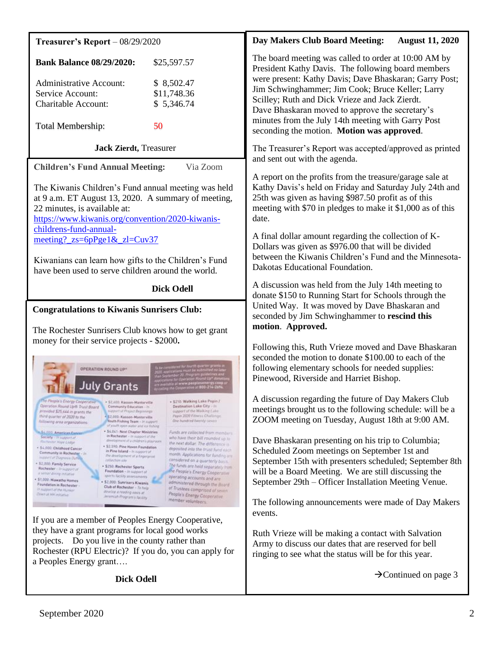| Treasurer's Report $-08/29/2020$                                                                                                                                                                                                                                                                                                                                                                                                                                                                                                                                                                                                                                                                                                                                                                                                                                                                                                                                                                                                                                                                                                                                                                                                                                                                                                                                                                                                                                                                                                                                                                                                                                                                                                            | <b>Day Makers Club Board Meeting:</b><br><b>August 11, 2020</b>                                                                                                                                                                                                                                                                                                                                                                                                                                                                                                                                                                                                                                                                        |  |
|---------------------------------------------------------------------------------------------------------------------------------------------------------------------------------------------------------------------------------------------------------------------------------------------------------------------------------------------------------------------------------------------------------------------------------------------------------------------------------------------------------------------------------------------------------------------------------------------------------------------------------------------------------------------------------------------------------------------------------------------------------------------------------------------------------------------------------------------------------------------------------------------------------------------------------------------------------------------------------------------------------------------------------------------------------------------------------------------------------------------------------------------------------------------------------------------------------------------------------------------------------------------------------------------------------------------------------------------------------------------------------------------------------------------------------------------------------------------------------------------------------------------------------------------------------------------------------------------------------------------------------------------------------------------------------------------------------------------------------------------|----------------------------------------------------------------------------------------------------------------------------------------------------------------------------------------------------------------------------------------------------------------------------------------------------------------------------------------------------------------------------------------------------------------------------------------------------------------------------------------------------------------------------------------------------------------------------------------------------------------------------------------------------------------------------------------------------------------------------------------|--|
| <b>Bank Balance 08/29/2020:</b><br>\$25,597.57<br>\$8,502.47<br><b>Administrative Account:</b><br>\$11,748.36<br>Service Account:<br>\$5,346.74<br><b>Charitable Account:</b><br>50<br>Total Membership:                                                                                                                                                                                                                                                                                                                                                                                                                                                                                                                                                                                                                                                                                                                                                                                                                                                                                                                                                                                                                                                                                                                                                                                                                                                                                                                                                                                                                                                                                                                                    | The board meeting was called to order at 10:00 AM by<br>President Kathy Davis. The following board members<br>were present: Kathy Davis; Dave Bhaskaran; Garry Post;<br>Jim Schwinghammer; Jim Cook; Bruce Keller; Larry<br>Scilley; Ruth and Dick Vrieze and Jack Zierdt.<br>Dave Bhaskaran moved to approve the secretary's<br>minutes from the July 14th meeting with Garry Post<br>seconding the motion. Motion was approved.                                                                                                                                                                                                                                                                                                      |  |
| <b>Jack Zierdt</b> , Treasurer                                                                                                                                                                                                                                                                                                                                                                                                                                                                                                                                                                                                                                                                                                                                                                                                                                                                                                                                                                                                                                                                                                                                                                                                                                                                                                                                                                                                                                                                                                                                                                                                                                                                                                              | The Treasurer's Report was accepted/approved as printed<br>and sent out with the agenda.<br>A report on the profits from the treasure/garage sale at<br>Kathy Davis's held on Friday and Saturday July 24th and<br>25th was given as having \$987.50 profit as of this<br>meeting with \$70 in pledges to make it \$1,000 as of this<br>date.<br>A final dollar amount regarding the collection of K-<br>Dollars was given as \$976.00 that will be divided<br>between the Kiwanis Children's Fund and the Minnesota-<br>Dakotas Educational Foundation.                                                                                                                                                                               |  |
| Via Zoom<br><b>Children's Fund Annual Meeting:</b><br>The Kiwanis Children's Fund annual meeting was held<br>at 9 a.m. ET August 13, 2020. A summary of meeting,<br>22 minutes, is available at:<br>https://www.kiwanis.org/convention/2020-kiwanis-<br>childrens-fund-annual-<br>meeting? $zs=6pPge1\& zl=Cuv37$<br>Kiwanians can learn how gifts to the Children's Fund<br>have been used to serve children around the world.                                                                                                                                                                                                                                                                                                                                                                                                                                                                                                                                                                                                                                                                                                                                                                                                                                                                                                                                                                                                                                                                                                                                                                                                                                                                                                             |                                                                                                                                                                                                                                                                                                                                                                                                                                                                                                                                                                                                                                                                                                                                        |  |
| <b>Dick Odell</b>                                                                                                                                                                                                                                                                                                                                                                                                                                                                                                                                                                                                                                                                                                                                                                                                                                                                                                                                                                                                                                                                                                                                                                                                                                                                                                                                                                                                                                                                                                                                                                                                                                                                                                                           | A discussion was held from the July 14th meeting to<br>donate \$150 to Running Start for Schools through the                                                                                                                                                                                                                                                                                                                                                                                                                                                                                                                                                                                                                           |  |
| <b>Congratulations to Kiwanis Sunrisers Club:</b><br>The Rochester Sunrisers Club knows how to get grant<br>money for their service projects - \$2000.<br>OPERATION ROUND UP<br>luly Grants<br>The People's Energy Cooperative<br>. \$210: Walking Lake Pepin /<br>+ \$2,600; Kasson-Manterville<br>Operation Round Up to Trust Board<br>Destination Lake City - 10<br>Community Education - In<br>support of the Walking Lake<br>provided \$25,644 in grants the<br>volumed of Project Beginnings.<br>Pepin 2020 Fitness Challings<br>third quarter of 2020 to the<br>- \$2,000; Kasson-Mantorville:<br>Dive handred Iwenty-seven<br>Youth Fishing Team - In support<br>following area organizations:<br>of youth open water and our fishing.<br>. \$4,041 Next Chapter Ministries<br>Funds are collected from members<br><b>ASAJUE American Cance</b><br>in Rochester - in support of the<br><b>Society</b> - In support of<br>who have their bill rounded up to<br>development of a children's playroom<br>Flivitmster Hive Lodge<br>the next dollar. The difference is<br>· \$2,590: Pine Haven Foundation<br>- 54,000 Childhood Cancer<br>deposited into the trust fund each<br>in Pine faland - In support of<br>Community in Rochester - In<br>month. Applications for funding are<br>the development of a fungergrowt<br><b>INSTART of Dutgrass Duty</b><br>considered on a quarterly basis.<br>collection site<br>- \$2,000. Family Service<br>The funds are held separately from<br>- \$250. Rochester Sports<br>Rechester - Imageport of<br>the People's Energy Cooperative<br>Foundation - In support of<br>a setor dining initiative<br>sports facility assessments<br>operating accounts and are<br>- \$1,000. Hiawatha Hames | United Way. It was moved by Dave Bhaskaran and<br>seconded by Jim Schwinghammer to rescind this<br>motion. Approved.<br>Following this, Ruth Vrieze moved and Dave Bhaskaran<br>seconded the motion to donate \$100.00 to each of the<br>following elementary schools for needed supplies:<br>Pinewood, Riverside and Harriet Bishop.<br>A discussion regarding the future of Day Makers Club<br>meetings brought us to the following schedule: will be a<br>ZOOM meeting on Tuesday, August 18th at 9:00 AM.<br>Dave Bhaskaran presenting on his trip to Columbia;<br>Scheduled Zoom meetings on September 1st and<br>September 15th with presenters scheduled; September 8th<br>will be a Board Meeting. We are still discussing the |  |
| . \$2,000. Sunrisers Kiwanis<br>administered through the Board<br>Foundation in Rechester-<br>Club of Rochester - To help<br>of Trustees comprised of seven<br>in support of the Hunker.<br>develop a reading pasis at<br>Down at HH includive<br>People's Energy Cooperative<br>Jeremiah Program's Nicklin<br>member volunteers.<br>If you are a member of Peoples Energy Cooperative,<br>they have a grant programs for local good works<br>Do you live in the county rather than<br>projects.<br>Rochester (RPU Electric)? If you do, you can apply for<br>a Peoples Energy grant                                                                                                                                                                                                                                                                                                                                                                                                                                                                                                                                                                                                                                                                                                                                                                                                                                                                                                                                                                                                                                                                                                                                                        | September 29th – Officer Installation Meeting Venue.<br>The following announcements were made of Day Makers<br>events.<br>Ruth Vrieze will be making a contact with Salvation<br>Army to discuss our dates that are reserved for bell<br>ringing to see what the status will be for this year.                                                                                                                                                                                                                                                                                                                                                                                                                                         |  |
| <b>Dick Odell</b>                                                                                                                                                                                                                                                                                                                                                                                                                                                                                                                                                                                                                                                                                                                                                                                                                                                                                                                                                                                                                                                                                                                                                                                                                                                                                                                                                                                                                                                                                                                                                                                                                                                                                                                           | $\rightarrow$ Continued on page 3                                                                                                                                                                                                                                                                                                                                                                                                                                                                                                                                                                                                                                                                                                      |  |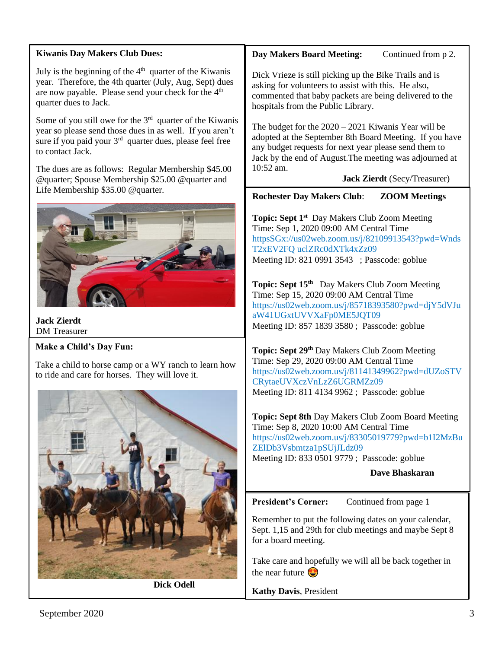#### **Kiwanis Day Makers Club Dues:**

July is the beginning of the  $4<sup>th</sup>$  quarter of the Kiwanis year. Therefore, the 4th quarter (July, Aug, Sept) dues are now payable. Please send your check for the 4<sup>th</sup> quarter dues to Jack.

Some of you still owe for the  $3<sup>rd</sup>$  quarter of the Kiwanis year so please send those dues in as well. If you aren't sure if you paid your 3<sup>rd</sup> quarter dues, please feel free to contact Jack.

The dues are as follows: Regular Membership \$45.00 @quarter; Spouse Membership \$25.00 @quarter and Life Membership \$35.00 @quarter.



**Jack Zierdt** DM Treasurer

# **Make a Child's Day Fun:**

Take a child to horse camp or a WY ranch to learn how to ride and care for horses. They will love it.



**Dick Odell**

# **Day Makers Board Meeting:** Continued from p 2.

Dick Vrieze is still picking up the Bike Trails and is asking for volunteers to assist with this. He also, commented that baby packets are being delivered to the hospitals from the Public Library.

The budget for the 2020 – 2021 Kiwanis Year will be adopted at the September 8th Board Meeting. If you have any budget requests for next year please send them to Jack by the end of August.The meeting was adjourned at 10:52 am.

 **Jack Zierdt** (Secy/Treasurer)

**Rochester Day Makers Club**: **ZOOM Meetings**

Topic: Sept 1<sup>st</sup> Day Makers Club Zoom Meeting Time: Sep 1, 2020 09:00 AM Central Time [httpsSGx://us02web.zoom.us/j/82109913543?pwd=Wnds](https://us02web.zoom.us/j/82109913543?pwd=WndsT2xEV2FQSGxuclZRc0dXTk4xZz09) [T2xEV2FQ uclZRc0dXTk4xZz09](https://us02web.zoom.us/j/82109913543?pwd=WndsT2xEV2FQSGxuclZRc0dXTk4xZz09)  Meeting ID: 821 0991 3543 ; Passcode: goblue

**Topic: Sept 15th** Day Makers Club Zoom Meeting Time: Sep 15, 2020 09:00 AM Central Time [https://us02web.zoom.us/j/85718393580?pwd=djY5dVJu](https://us02web.zoom.us/j/85718393580?pwd=djY5dVJuaW41UGxtUVVXaFp0ME5JQT09) [aW41UGxtUVVXaFp0ME5JQT09](https://us02web.zoom.us/j/85718393580?pwd=djY5dVJuaW41UGxtUVVXaFp0ME5JQT09) Meeting ID: 857 1839 3580 ; Passcode: goblue

**Topic: Sept 29th** Day Makers Club Zoom Meeting Time: Sep 29, 2020 09:00 AM Central Time [https://us02web.zoom.us/j/81141349962?pwd=dUZoSTV](https://us02web.zoom.us/j/81141349962?pwd=dUZoSTVCRytaeUVXczVnLzZ6UGRMZz09) [CRytaeUVXczVnLzZ6UGRMZz09](https://us02web.zoom.us/j/81141349962?pwd=dUZoSTVCRytaeUVXczVnLzZ6UGRMZz09) Meeting ID: 811 4134 9962 ; Passcode: goblue

**Topic: Sept 8th** Day Makers Club Zoom Board Meeting Time: Sep 8, 2020 10:00 AM Central Time [https://us02web.zoom.us/j/83305019779?pwd=b1I2MzBu](https://us02web.zoom.us/j/83305019779?pwd=b1I2MzBuZElDb3Vsbmtza1pSUjJLdz09) [ZElDb3Vsbmtza1pSUjJLdz09](https://us02web.zoom.us/j/83305019779?pwd=b1I2MzBuZElDb3Vsbmtza1pSUjJLdz09) Meeting ID: 833 0501 9779 ; Passcode: goblue

**Dave Bhaskaran**

President's Corner: Continued from page 1

Remember to put the following dates on your calendar, Sept. 1,15 and 29th for club meetings and maybe Sept 8 for a board meeting.

Take care and hopefully we will all be back together in the near future  $\bigodot$ 

**Kathy Davis**, President